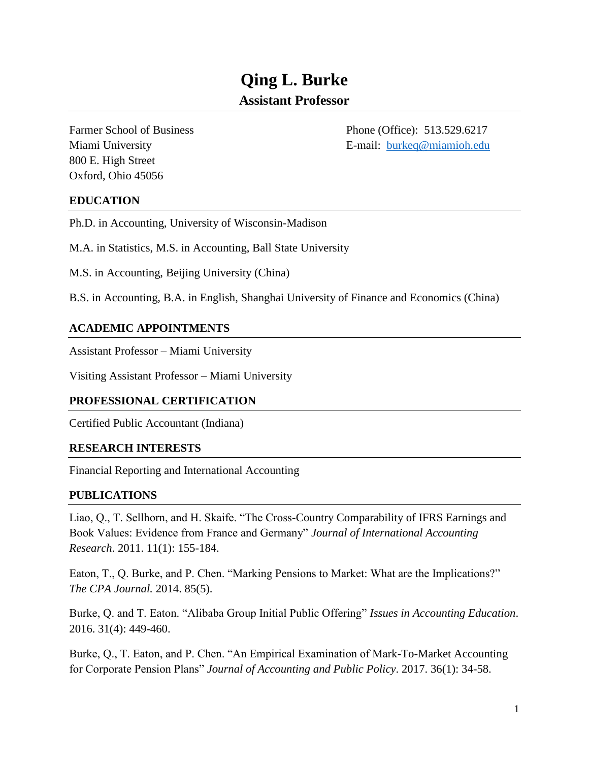# **Qing L. Burke Assistant Professor**

800 E. High Street Oxford, Ohio 45056

Farmer School of Business Phone (Office): 513.529.6217 Miami University E-mail: [burkeq@miamioh.edu](mailto:burkeq@miamioh.edu)

# **EDUCATION**

Ph.D. in Accounting, University of Wisconsin-Madison

M.A. in Statistics, M.S. in Accounting, Ball State University

M.S. in Accounting, Beijing University (China)

B.S. in Accounting, B.A. in English, Shanghai University of Finance and Economics (China)

## **ACADEMIC APPOINTMENTS**

Assistant Professor – Miami University

Visiting Assistant Professor – Miami University

### **PROFESSIONAL CERTIFICATION**

Certified Public Accountant (Indiana)

### **RESEARCH INTERESTS**

Financial Reporting and International Accounting

### **PUBLICATIONS**

Liao, Q., T. Sellhorn, and H. Skaife. "The Cross-Country Comparability of IFRS Earnings and Book Values: Evidence from France and Germany" *Journal of International Accounting Research*. 2011. 11(1): 155-184.

Eaton, T., Q. Burke, and P. Chen. "Marking Pensions to Market: What are the Implications?" *The CPA Journal.* 2014. 85(5).

Burke, Q. and T. Eaton. "Alibaba Group Initial Public Offering" *Issues in Accounting Education*. 2016. 31(4): 449-460.

Burke, Q., T. Eaton, and P. Chen. "An Empirical Examination of Mark-To-Market Accounting for Corporate Pension Plans" *Journal of Accounting and Public Policy*. 2017. 36(1): 34-58.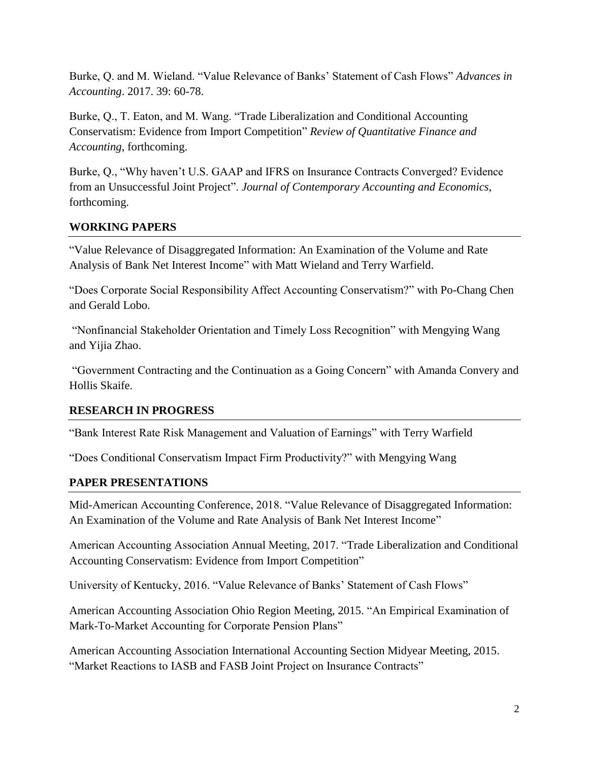Burke, Q. and M. Wieland. "Value Relevance of Banks' Statement of Cash Flows" *Advances in Accounting*. 2017. 39: 60-78.

Burke, Q., T. Eaton, and M. Wang. "Trade Liberalization and Conditional Accounting Conservatism: Evidence from Import Competition" *Review of Quantitative Finance and Accounting*, forthcoming.

Burke, Q., "Why haven't U.S. GAAP and IFRS on Insurance Contracts Converged? Evidence from an Unsuccessful Joint Project". *Journal of Contemporary Accounting and Economics*, forthcoming.

# **WORKING PAPERS**

"Value Relevance of Disaggregated Information: An Examination of the Volume and Rate Analysis of Bank Net Interest Income" with Matt Wieland and Terry Warfield.

"Does Corporate Social Responsibility Affect Accounting Conservatism?" with Po-Chang Chen and Gerald Lobo.

"Nonfinancial Stakeholder Orientation and Timely Loss Recognition" with Mengying Wang and Yijia Zhao.

"Government Contracting and the Continuation as a Going Concern" with Amanda Convery and Hollis Skaife.

## **RESEARCH IN PROGRESS**

"Bank Interest Rate Risk Management and Valuation of Earnings" with Terry Warfield

"Does Conditional Conservatism Impact Firm Productivity?" with Mengying Wang

## **PAPER PRESENTATIONS**

Mid-American Accounting Conference, 2018. "Value Relevance of Disaggregated Information: An Examination of the Volume and Rate Analysis of Bank Net Interest Income"

American Accounting Association Annual Meeting, 2017. "Trade Liberalization and Conditional Accounting Conservatism: Evidence from Import Competition"

University of Kentucky, 2016. "Value Relevance of Banks' Statement of Cash Flows"

American Accounting Association Ohio Region Meeting, 2015. "An Empirical Examination of Mark-To-Market Accounting for Corporate Pension Plans"

American Accounting Association International Accounting Section Midyear Meeting, 2015. "Market Reactions to IASB and FASB Joint Project on Insurance Contracts"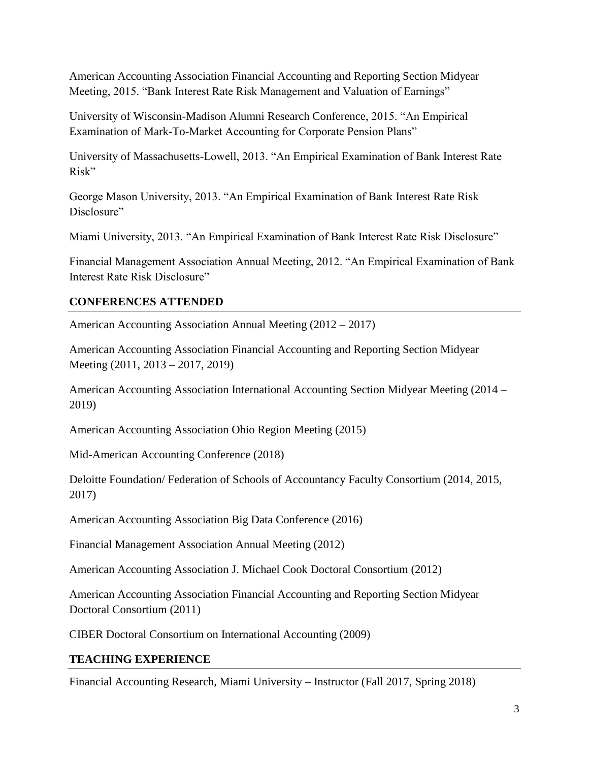American Accounting Association Financial Accounting and Reporting Section Midyear Meeting, 2015. "Bank Interest Rate Risk Management and Valuation of Earnings"

University of Wisconsin-Madison Alumni Research Conference, 2015. "An Empirical Examination of Mark-To-Market Accounting for Corporate Pension Plans"

University of Massachusetts-Lowell, 2013. "An Empirical Examination of Bank Interest Rate Risk"

George Mason University, 2013. "An Empirical Examination of Bank Interest Rate Risk Disclosure"

Miami University, 2013. "An Empirical Examination of Bank Interest Rate Risk Disclosure"

Financial Management Association Annual Meeting, 2012. "An Empirical Examination of Bank Interest Rate Risk Disclosure"

# **CONFERENCES ATTENDED**

American Accounting Association Annual Meeting (2012 – 2017)

American Accounting Association Financial Accounting and Reporting Section Midyear Meeting (2011, 2013 – 2017, 2019)

American Accounting Association International Accounting Section Midyear Meeting (2014 – 2019)

American Accounting Association Ohio Region Meeting (2015)

Mid-American Accounting Conference (2018)

Deloitte Foundation/ Federation of Schools of Accountancy Faculty Consortium (2014, 2015, 2017)

American Accounting Association Big Data Conference (2016)

Financial Management Association Annual Meeting (2012)

American Accounting Association J. Michael Cook Doctoral Consortium (2012)

American Accounting Association Financial Accounting and Reporting Section Midyear Doctoral Consortium (2011)

CIBER Doctoral Consortium on International Accounting (2009)

# **TEACHING EXPERIENCE**

Financial Accounting Research, Miami University – Instructor (Fall 2017, Spring 2018)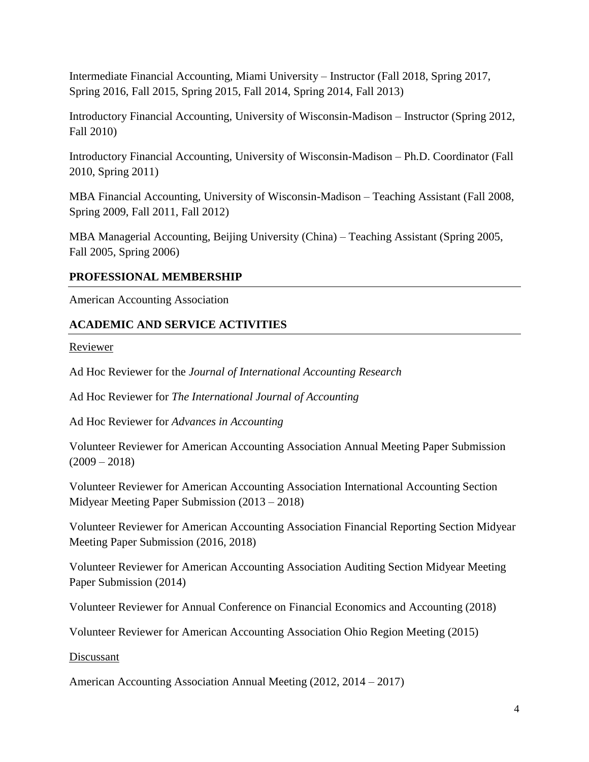Intermediate Financial Accounting, Miami University – Instructor (Fall 2018, Spring 2017, Spring 2016, Fall 2015, Spring 2015, Fall 2014, Spring 2014, Fall 2013)

Introductory Financial Accounting, University of Wisconsin-Madison – Instructor (Spring 2012, Fall 2010)

Introductory Financial Accounting, University of Wisconsin-Madison – Ph.D. Coordinator (Fall 2010, Spring 2011)

MBA Financial Accounting, University of Wisconsin-Madison – Teaching Assistant (Fall 2008, Spring 2009, Fall 2011, Fall 2012)

MBA Managerial Accounting, Beijing University (China) – Teaching Assistant (Spring 2005, Fall 2005, Spring 2006)

# **PROFESSIONAL MEMBERSHIP**

American Accounting Association

# **ACADEMIC AND SERVICE ACTIVITIES**

Reviewer

Ad Hoc Reviewer for the *Journal of International Accounting Research*

Ad Hoc Reviewer for *The International Journal of Accounting* 

Ad Hoc Reviewer for *Advances in Accounting* 

Volunteer Reviewer for American Accounting Association Annual Meeting Paper Submission  $(2009 - 2018)$ 

Volunteer Reviewer for American Accounting Association International Accounting Section Midyear Meeting Paper Submission (2013 – 2018)

Volunteer Reviewer for American Accounting Association Financial Reporting Section Midyear Meeting Paper Submission (2016, 2018)

Volunteer Reviewer for American Accounting Association Auditing Section Midyear Meeting Paper Submission (2014)

Volunteer Reviewer for Annual Conference on Financial Economics and Accounting (2018)

Volunteer Reviewer for American Accounting Association Ohio Region Meeting (2015)

Discussant

American Accounting Association Annual Meeting (2012, 2014 – 2017)